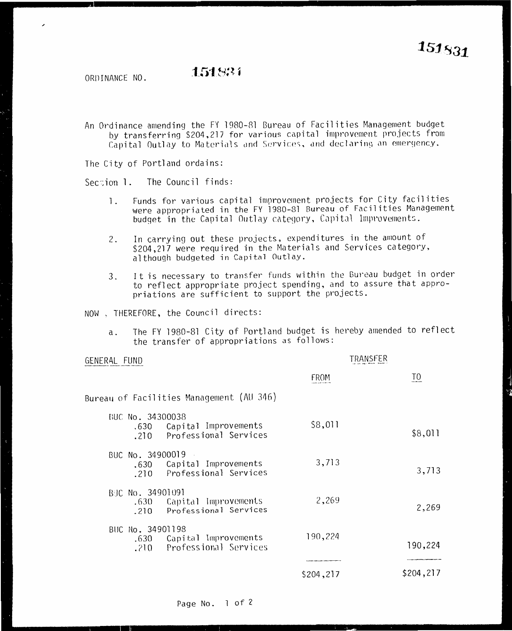151831

ORDINANCE NO.

An Ordinance amending the FY 1980-81 Bureau of Facilities Management budget by transferring \$204,217 for various capital improvement projects from Capital Outlay to Materials and Services, and declaring an emergency.

The City of Portland ordains:

Section 1. The Council finds:

- Funds for various capital improvement projects for City facilities  $\mathbf{L}$ were appropriated in the FY 1980-81 Bureau of Facilities Management budget in the Capital Outlay category, Capital Improvements.
- In carrying out these projects, expenditures in the amount of 2. \$204,217 were required in the Materials and Services category, although budgeted in Capital Outlay.
- It is necessary to transfer funds within the Bureau budget in order 3. to reflect appropriate project spending, and to assure that appropriations are sufficient to support the projects.

NOW, THEREFORE, the Council directs:

The FY 1980-81 City of Portland budget is hereby amended to reflect  $\mathbf{a}$ . the transfer of appropriations as follows:

| GENERAL FUND                                                                   | RANSFER   |           |  |
|--------------------------------------------------------------------------------|-----------|-----------|--|
|                                                                                | FROM      | T0        |  |
| Bureau of Facilities Management (AU 346)                                       |           |           |  |
| BUC No. 34300038<br>.630 Capital Improvements<br>Professional Services<br>.210 | \$8,011   | \$8,011   |  |
| BUC No. 34900019<br>.630 Capital Improvements<br>.210 Professional Services    | 3,713     | 3,713     |  |
| BUC No. 34901091<br>.630 Capital Improvements<br>Professional Services<br>.210 | 2,269     | 2,269     |  |
| BUC No. 34901198<br>.630 Capital Improvements<br>.210 Professional Services    | 190,224   | 190,224   |  |
|                                                                                | \$204,217 | \$204,217 |  |

Page No. 1 of 2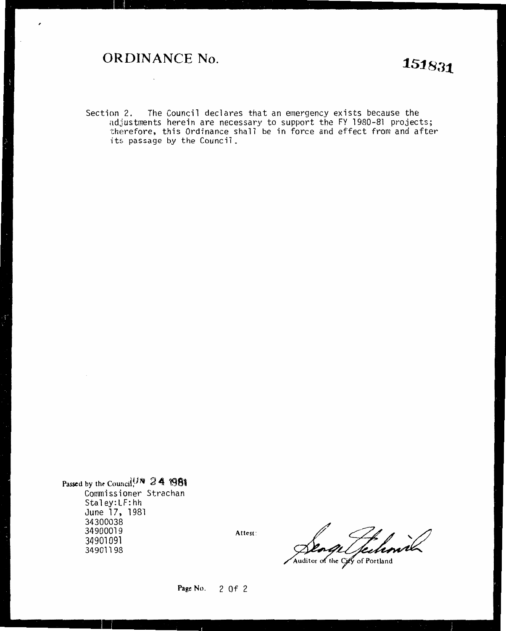## **ORDINANCE No. 151.831**

 $\overline{\phantom{a}}$ 

 $\ddot{\phantom{0}}$ 

Section 2. The Council declares that an emergency exists because the adjustments herein are necessary to support the FY 1980-81 projects; therefore, this Ordinance shall be in force and effect from and after -its passage by the Council.

Passed by the Council<sup>UN</sup>  $24$  1981 Commissioner Strachan Staley:LF:hh June 17, 1981 34300038 34900019 Attest: 34901091

34901198

Jehnik Auditor of the City of Portland

**Page** No. 2 Of 2